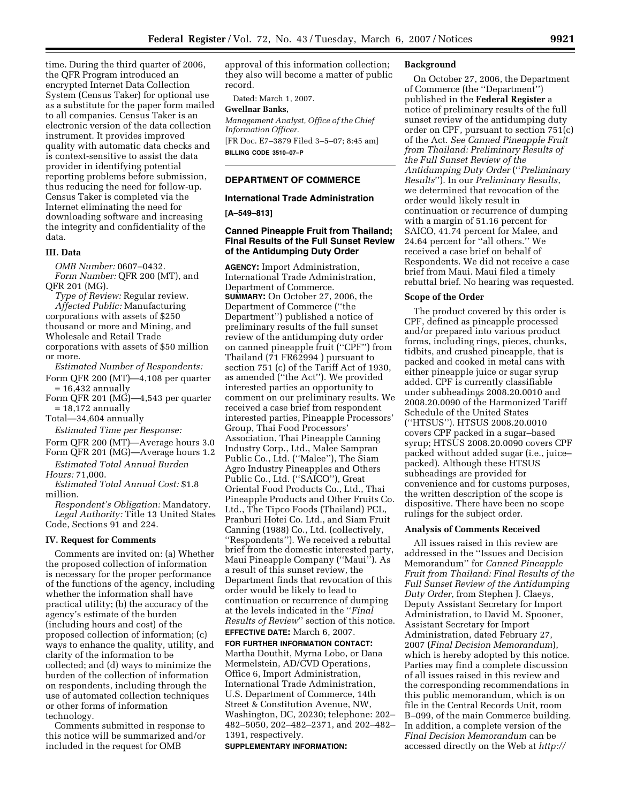time. During the third quarter of 2006, the QFR Program introduced an encrypted Internet Data Collection System (Census Taker) for optional use as a substitute for the paper form mailed to all companies. Census Taker is an electronic version of the data collection instrument. It provides improved quality with automatic data checks and is context-sensitive to assist the data provider in identifying potential reporting problems before submission, thus reducing the need for follow-up. Census Taker is completed via the Internet eliminating the need for downloading software and increasing the integrity and confidentiality of the data.

### **III. Data**

*OMB Number:* 0607–0432. *Form Number:* QFR 200 (MT), and QFR 201 (MG).

*Type of Review:* Regular review. *Affected Public:* Manufacturing corporations with assets of \$250 thousand or more and Mining, and Wholesale and Retail Trade corporations with assets of \$50 million

or more.

*Estimated Number of Respondents:*  Form QFR 200 (MT)—4,108 per quarter

 $= 16.432$  annually Form QFR 201 (MG)—4,543 per quarter

 $= 18,172$  annually Total—34,604 annually

*Estimated Time per Response:* 

Form QFR 200 (MT)—Average hours 3.0 Form QFR 201 (MG)—Average hours 1.2

*Estimated Total Annual Burden* 

*Hours:* 71,000. *Estimated Total Annual Cost:* \$1.8

million. *Respondent's Obligation:* Mandatory. *Legal Authority:* Title 13 United States Code, Sections 91 and 224.

#### **IV. Request for Comments**

Comments are invited on: (a) Whether the proposed collection of information is necessary for the proper performance of the functions of the agency, including whether the information shall have practical utility; (b) the accuracy of the agency's estimate of the burden (including hours and cost) of the proposed collection of information; (c) ways to enhance the quality, utility, and clarity of the information to be collected; and (d) ways to minimize the burden of the collection of information on respondents, including through the use of automated collection techniques or other forms of information technology.

Comments submitted in response to this notice will be summarized and/or included in the request for OMB

approval of this information collection; they also will become a matter of public record.

Dated: March 1, 2007.

# **Gwellnar Banks,**

*Management Analyst, Office of the Chief Information Officer.*  [FR Doc. E7–3879 Filed 3–5–07; 8:45 am] **BILLING CODE 3510–07–P** 

### **DEPARTMENT OF COMMERCE**

### **International Trade Administration**

**[A–549–813]** 

# **Canned Pineapple Fruit from Thailand; Final Results of the Full Sunset Review of the Antidumping Duty Order**

**AGENCY:** Import Administration, International Trade Administration, Department of Commerce. **SUMMARY:** On October 27, 2006, the Department of Commerce (''the Department'') published a notice of preliminary results of the full sunset review of the antidumping duty order on canned pineapple fruit (''CPF'') from Thailand (71 FR62994 ) pursuant to section 751 (c) of the Tariff Act of 1930, as amended (''the Act''). We provided interested parties an opportunity to comment on our preliminary results. We received a case brief from respondent interested parties, Pineapple Processors' Group, Thai Food Processors' Association, Thai Pineapple Canning Industry Corp., Ltd., Malee Sampran Public Co., Ltd. (''Malee''), The Siam Agro Industry Pineapples and Others Public Co., Ltd. (''SAICO''), Great Oriental Food Products Co., Ltd., Thai Pineapple Products and Other Fruits Co. Ltd., The Tipco Foods (Thailand) PCL, Pranburi Hotei Co. Ltd., and Siam Fruit Canning (1988) Co., Ltd. (collectively, ''Respondents''). We received a rebuttal brief from the domestic interested party, Maui Pineapple Company (''Maui''). As a result of this sunset review, the Department finds that revocation of this order would be likely to lead to continuation or recurrence of dumping at the levels indicated in the ''*Final Results of Review*'' section of this notice. **EFFECTIVE DATE:** March 6, 2007.

**FOR FURTHER INFORMATION CONTACT:**  Martha Douthit, Myrna Lobo, or Dana Mermelstein, AD/CVD Operations, Office 6, Import Administration, International Trade Administration, U.S. Department of Commerce, 14th Street & Constitution Avenue, NW, Washington, DC, 20230; telephone: 202– 482–5050, 202–482–2371, and 202–482– 1391, respectively.

#### **SUPPLEMENTARY INFORMATION:**

#### **Background**

On October 27, 2006, the Department of Commerce (the ''Department'') published in the **Federal Register** a notice of preliminary results of the full sunset review of the antidumping duty order on CPF, pursuant to section 751(c) of the Act. *See Canned Pineapple Fruit from Thailand: Preliminary Results of the Full Sunset Review of the Antidumping Duty Order* (''*Preliminary Results*''). In our *Preliminary Results*, we determined that revocation of the order would likely result in continuation or recurrence of dumping with a margin of 51.16 percent for SAICO, 41.74 percent for Malee, and 24.64 percent for ''all others.'' We received a case brief on behalf of Respondents. We did not receive a case brief from Maui. Maui filed a timely rebuttal brief. No hearing was requested.

#### **Scope of the Order**

The product covered by this order is CPF, defined as pineapple processed and/or prepared into various product forms, including rings, pieces, chunks, tidbits, and crushed pineapple, that is packed and cooked in metal cans with either pineapple juice or sugar syrup added. CPF is currently classifiable under subheadings 2008.20.0010 and 2008.20.0090 of the Harmonized Tariff Schedule of the United States (''HTSUS''). HTSUS 2008.20.0010 covers CPF packed in a sugar–based syrup; HTSUS 2008.20.0090 covers CPF packed without added sugar (i.e., juice– packed). Although these HTSUS subheadings are provided for convenience and for customs purposes, the written description of the scope is dispositive. There have been no scope rulings for the subject order.

#### **Analysis of Comments Received**

All issues raised in this review are addressed in the ''Issues and Decision Memorandum'' for *Canned Pineapple Fruit from Thailand: Final Results of the Full Sunset Review of the Antidumping Duty Order*, from Stephen J. Claeys, Deputy Assistant Secretary for Import Administration, to David M. Spooner, Assistant Secretary for Import Administration, dated February 27, 2007 (*Final Decision Memorandum*), which is hereby adopted by this notice. Parties may find a complete discussion of all issues raised in this review and the corresponding recommendations in this public memorandum, which is on file in the Central Records Unit, room B–099, of the main Commerce building. In addition, a complete version of the *Final Decision Memorandum* can be accessed directly on the Web at *http://*